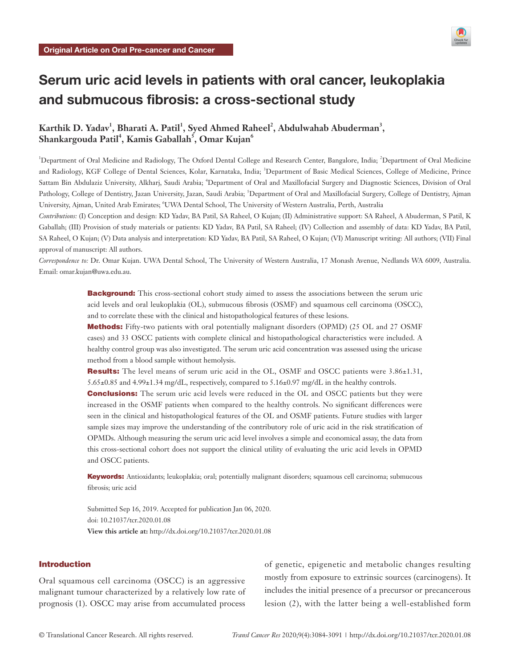

# Serum uric acid levels in patients with oral cancer, leukoplakia and submucous fibrosis: a cross-sectional study

# **Karthik D. Yadav<sup>1</sup> , Bharati A. Patil<sup>1</sup> , Syed Ahmed Raheel<sup>2</sup> , Abdulwahab Abuderman<sup>3</sup> , Shankargouda Patil<sup>4</sup> , Kamis Gaballah<sup>5</sup> , Omar Kujan<sup>6</sup>**

<sup>1</sup>Department of Oral Medicine and Radiology, The Oxford Dental College and Research Center, Bangalore, India; <sup>2</sup>Department of Oral Medicine and Radiology, KGF College of Dental Sciences, Kolar, Karnataka, India; <sup>3</sup>Department of Basic Medical Sciences, College of Medicine, Prince Sattam Bin Abdulaziz University, Alkharj, Saudi Arabia; <sup>4</sup>Department of Oral and Maxillofacial Surgery and Diagnostic Sciences, Division of Oral Pathology, College of Dentistry, Jazan University, Jazan, Saudi Arabia; <sup>5</sup>Department of Oral and Maxillofacial Surgery, College of Dentistry, Ajman University, Ajman, United Arab Emirates; <sup>6</sup>UWA Dental School, The University of Western Australia, Perth, Australia

*Contributions:* (I) Conception and design: KD Yadav, BA Patil, SA Raheel, O Kujan; (II) Administrative support: SA Raheel, A Abuderman, S Patil, K Gaballah; (III) Provision of study materials or patients: KD Yadav, BA Patil, SA Raheel; (IV) Collection and assembly of data: KD Yadav, BA Patil, SA Raheel, O Kujan; (V) Data analysis and interpretation: KD Yadav, BA Patil, SA Raheel, O Kujan; (VI) Manuscript writing: All authors; (VII) Final approval of manuscript: All authors.

*Correspondence to:* Dr. Omar Kujan. UWA Dental School, The University of Western Australia, 17 Monash Avenue, Nedlands WA 6009, Australia. Email: omar.kujan@uwa.edu.au.

> **Background:** This cross-sectional cohort study aimed to assess the associations between the serum uric acid levels and oral leukoplakia (OL), submucous fibrosis (OSMF) and squamous cell carcinoma (OSCC), and to correlate these with the clinical and histopathological features of these lesions.

> **Methods:** Fifty-two patients with oral potentially malignant disorders (OPMD) (25 OL and 27 OSMF cases) and 33 OSCC patients with complete clinical and histopathological characteristics were included. A healthy control group was also investigated. The serum uric acid concentration was assessed using the uricase method from a blood sample without hemolysis.

> Results: The level means of serum uric acid in the OL, OSMF and OSCC patients were 3.86±1.31, 5.65±0.85 and 4.99±1.34 mg/dL, respectively, compared to 5.16±0.97 mg/dL in the healthy controls.

> **Conclusions:** The serum uric acid levels were reduced in the OL and OSCC patients but they were increased in the OSMF patients when compared to the healthy controls. No significant differences were seen in the clinical and histopathological features of the OL and OSMF patients. Future studies with larger sample sizes may improve the understanding of the contributory role of uric acid in the risk stratification of OPMDs. Although measuring the serum uric acid level involves a simple and economical assay, the data from this cross-sectional cohort does not support the clinical utility of evaluating the uric acid levels in OPMD and OSCC patients.

> Keywords: Antioxidants; leukoplakia; oral; potentially malignant disorders; squamous cell carcinoma; submucous fibrosis; uric acid

Submitted Sep 16, 2019. Accepted for publication Jan 06, 2020. doi: 10.21037/tcr.2020.01.08 **View this article at:** http://dx.doi.org/10.21037/tcr.2020.01.08

# Introduction

Oral squamous cell carcinoma (OSCC) is an aggressive malignant tumour characterized by a relatively low rate of prognosis (1). OSCC may arise from accumulated process

of genetic, epigenetic and metabolic changes resulting mostly from exposure to extrinsic sources (carcinogens). It includes the initial presence of a precursor or precancerous lesion (2), with the latter being a well-established form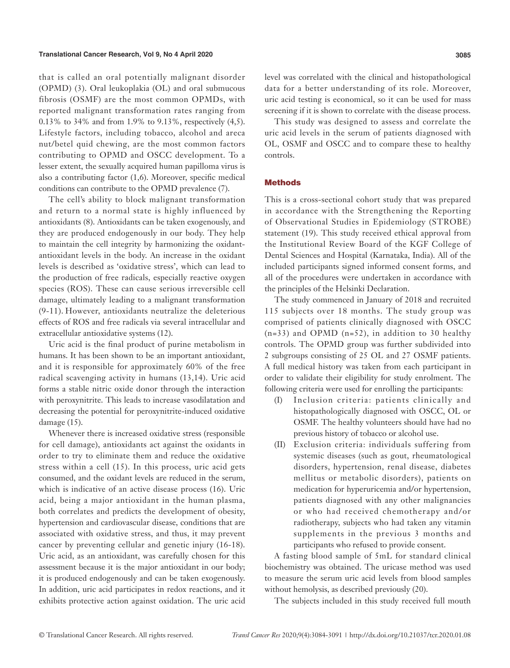#### **Translational Cancer Research, Vol 9, No 4 April 2020 3085**

that is called an oral potentially malignant disorder (OPMD) (3). Oral leukoplakia (OL) and oral submucous fibrosis (OSMF) are the most common OPMDs, with reported malignant transformation rates ranging from 0.13% to 34% and from 1.9% to 9.13%, respectively (4,5). Lifestyle factors, including tobacco, alcohol and areca nut/betel quid chewing, are the most common factors contributing to OPMD and OSCC development. To a lesser extent, the sexually acquired human papilloma virus is also a contributing factor (1,6). Moreover, specific medical conditions can contribute to the OPMD prevalence (7).

The cell's ability to block malignant transformation and return to a normal state is highly influenced by antioxidants (8). Antioxidants can be taken exogenously, and they are produced endogenously in our body. They help to maintain the cell integrity by harmonizing the oxidantantioxidant levels in the body. An increase in the oxidant levels is described as 'oxidative stress', which can lead to the production of free radicals, especially reactive oxygen species (ROS). These can cause serious irreversible cell damage, ultimately leading to a malignant transformation (9-11). However, antioxidants neutralize the deleterious effects of ROS and free radicals via several intracellular and extracellular antioxidative systems (12).

Uric acid is the final product of purine metabolism in humans. It has been shown to be an important antioxidant, and it is responsible for approximately 60% of the free radical scavenging activity in humans (13,14). Uric acid forms a stable nitric oxide donor through the interaction with peroxynitrite. This leads to increase vasodilatation and decreasing the potential for peroxynitrite-induced oxidative damage (15).

Whenever there is increased oxidative stress (responsible for cell damage), antioxidants act against the oxidants in order to try to eliminate them and reduce the oxidative stress within a cell (15). In this process, uric acid gets consumed, and the oxidant levels are reduced in the serum, which is indicative of an active disease process (16). Uric acid, being a major antioxidant in the human plasma, both correlates and predicts the development of obesity, hypertension and cardiovascular disease, conditions that are associated with oxidative stress, and thus, it may prevent cancer by preventing cellular and genetic injury (16-18). Uric acid, as an antioxidant, was carefully chosen for this assessment because it is the major antioxidant in our body; it is produced endogenously and can be taken exogenously. In addition, uric acid participates in redox reactions, and it exhibits protective action against oxidation. The uric acid

level was correlated with the clinical and histopathological data for a better understanding of its role. Moreover, uric acid testing is economical, so it can be used for mass screening if it is shown to correlate with the disease process.

This study was designed to assess and correlate the uric acid levels in the serum of patients diagnosed with OL, OSMF and OSCC and to compare these to healthy controls.

#### **Methods**

This is a cross-sectional cohort study that was prepared in accordance with the Strengthening the Reporting of Observational Studies in Epidemiology (STROBE) statement (19). This study received ethical approval from the Institutional Review Board of the KGF College of Dental Sciences and Hospital (Karnataka, India). All of the included participants signed informed consent forms, and all of the procedures were undertaken in accordance with the principles of the Helsinki Declaration.

The study commenced in January of 2018 and recruited 115 subjects over 18 months. The study group was comprised of patients clinically diagnosed with OSCC  $(n=33)$  and OPMD  $(n=52)$ , in addition to 30 healthy controls. The OPMD group was further subdivided into 2 subgroups consisting of 25 OL and 27 OSMF patients. A full medical history was taken from each participant in order to validate their eligibility for study enrolment. The following criteria were used for enrolling the participants:

- (I) Inclusion criteria: patients clinically and histopathologically diagnosed with OSCC, OL or OSMF. The healthy volunteers should have had no previous history of tobacco or alcohol use.
- (II) Exclusion criteria: individuals suffering from systemic diseases (such as gout, rheumatological disorders, hypertension, renal disease, diabetes mellitus or metabolic disorders), patients on medication for hyperuricemia and/or hypertension, patients diagnosed with any other malignancies or who had received chemotherapy and/or radiotherapy, subjects who had taken any vitamin supplements in the previous 3 months and participants who refused to provide consent.

A fasting blood sample of 5mL for standard clinical biochemistry was obtained. The uricase method was used to measure the serum uric acid levels from blood samples without hemolysis, as described previously (20).

The subjects included in this study received full mouth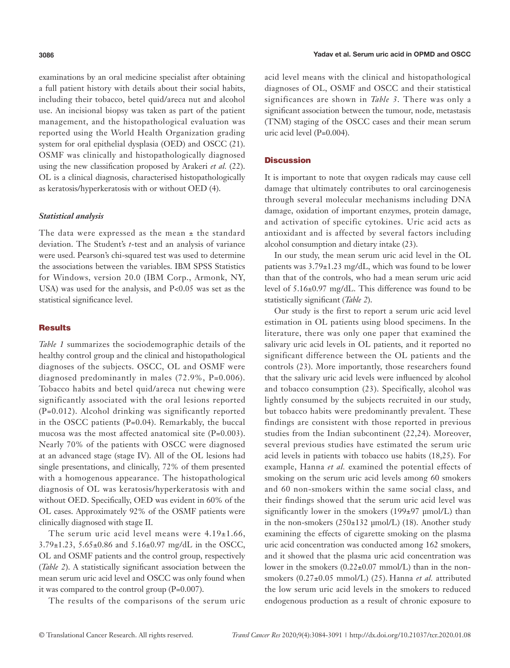examinations by an oral medicine specialist after obtaining a full patient history with details about their social habits, including their tobacco, betel quid/areca nut and alcohol use. An incisional biopsy was taken as part of the patient management, and the histopathological evaluation was reported using the World Health Organization grading system for oral epithelial dysplasia (OED) and OSCC (21). OSMF was clinically and histopathologically diagnosed using the new classification proposed by Arakeri *et al.* (22). OL is a clinical diagnosis, characterised histopathologically as keratosis/hyperkeratosis with or without OED (4).

#### *Statistical analysis*

The data were expressed as the mean  $\pm$  the standard deviation. The Student's *t*-test and an analysis of variance were used. Pearson's chi-squared test was used to determine the associations between the variables. IBM SPSS Statistics for Windows, version 20.0 (IBM Corp., Armonk, NY, USA) was used for the analysis, and P<0.05 was set as the statistical significance level.

#### **Results**

*Table 1* summarizes the sociodemographic details of the healthy control group and the clinical and histopathological diagnoses of the subjects. OSCC, OL and OSMF were diagnosed predominantly in males (72.9%, P=0.006). Tobacco habits and betel quid/areca nut chewing were significantly associated with the oral lesions reported (P=0.012). Alcohol drinking was significantly reported in the OSCC patients (P=0.04). Remarkably, the buccal mucosa was the most affected anatomical site (P=0.003). Nearly 70% of the patients with OSCC were diagnosed at an advanced stage (stage IV). All of the OL lesions had single presentations, and clinically, 72% of them presented with a homogenous appearance. The histopathological diagnosis of OL was keratosis/hyperkeratosis with and without OED. Specifically, OED was evident in 60% of the OL cases. Approximately 92% of the OSMF patients were clinically diagnosed with stage II.

The serum uric acid level means were  $4.19 \pm 1.66$ , 3.79±1.23, 5.65±0.86 and 5.16±0.97 mg/dL in the OSCC, OL and OSMF patients and the control group, respectively (*Table 2*). A statistically significant association between the mean serum uric acid level and OSCC was only found when it was compared to the control group (P=0.007).

The results of the comparisons of the serum uric

acid level means with the clinical and histopathological diagnoses of OL, OSMF and OSCC and their statistical significances are shown in *Table 3*. There was only a significant association between the tumour, node, metastasis (TNM) staging of the OSCC cases and their mean serum uric acid level (P=0.004).

# Discussion

It is important to note that oxygen radicals may cause cell damage that ultimately contributes to oral carcinogenesis through several molecular mechanisms including DNA damage, oxidation of important enzymes, protein damage, and activation of specific cytokines. Uric acid acts as antioxidant and is affected by several factors including alcohol consumption and dietary intake (23).

In our study, the mean serum uric acid level in the OL patients was 3.79±1.23 mg/dL, which was found to be lower than that of the controls, who had a mean serum uric acid level of 5.16±0.97 mg/dL. This difference was found to be statistically significant (*Table 2*).

Our study is the first to report a serum uric acid level estimation in OL patients using blood specimens. In the literature, there was only one paper that examined the salivary uric acid levels in OL patients, and it reported no significant difference between the OL patients and the controls (23). More importantly, those researchers found that the salivary uric acid levels were influenced by alcohol and tobacco consumption (23). Specifically, alcohol was lightly consumed by the subjects recruited in our study, but tobacco habits were predominantly prevalent. These findings are consistent with those reported in previous studies from the Indian subcontinent (22,24). Moreover, several previous studies have estimated the serum uric acid levels in patients with tobacco use habits (18,25). For example, Hanna *et al.* examined the potential effects of smoking on the serum uric acid levels among 60 smokers and 60 non-smokers within the same social class, and their findings showed that the serum uric acid level was significantly lower in the smokers (199±97 µmol/L) than in the non-smokers  $(250\pm132 \text{ \mu} \text{mol/L})$  (18). Another study examining the effects of cigarette smoking on the plasma uric acid concentration was conducted among 162 smokers, and it showed that the plasma uric acid concentration was lower in the smokers (0.22±0.07 mmol/L) than in the nonsmokers (0.27±0.05 mmol/L) (25). Hanna *et al.* attributed the low serum uric acid levels in the smokers to reduced endogenous production as a result of chronic exposure to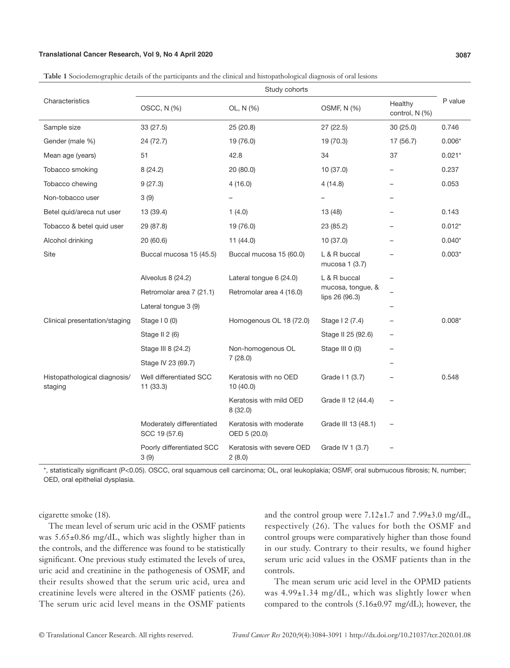#### **Translational Cancer Research, Vol 9, No 4 April 2020 3087**

| Characteristics                         | Study cohorts                              |                                         |                                     |                           |          |
|-----------------------------------------|--------------------------------------------|-----------------------------------------|-------------------------------------|---------------------------|----------|
|                                         | OSCC, N (%)                                | OL, N (%)                               | OSMF, N (%)                         | Healthy<br>control, N (%) | P value  |
| Sample size                             | 33 (27.5)                                  | 25 (20.8)                               | 27(22.5)                            | 30(25.0)                  | 0.746    |
| Gender (male %)                         | 24 (72.7)                                  | 19 (76.0)                               | 19 (70.3)                           | 17 (56.7)                 | $0.006*$ |
| Mean age (years)                        | 51                                         | 42.8                                    | 34                                  | 37                        | $0.021*$ |
| Tobacco smoking                         | 8 (24.2)                                   | 20 (80.0)                               | 10 (37.0)                           |                           | 0.237    |
| Tobacco chewing                         | 9(27.3)                                    | 4(16.0)                                 | 4(14.8)                             |                           | 0.053    |
| Non-tobacco user                        | 3(9)                                       |                                         |                                     |                           |          |
| Betel quid/areca nut user               | 13 (39.4)                                  | 1(4.0)                                  | 13 (48)                             |                           | 0.143    |
| Tobacco & betel quid user               | 29 (87.8)                                  | 19 (76.0)                               | 23 (85.2)                           |                           | $0.012*$ |
| Alcohol drinking                        | 20 (60.6)                                  | 11 (44.0)                               | 10 (37.0)                           |                           | $0.040*$ |
| Site                                    | Buccal mucosa 15 (45.5)                    | Buccal mucosa 15 (60.0)                 | L & R buccal<br>mucosa 1 (3.7)      |                           | $0.003*$ |
|                                         | Alveolus 8 (24.2)                          | Lateral tongue 6 (24.0)                 | L & R buccal                        |                           |          |
|                                         | Retromolar area 7 (21.1)                   | Retromolar area 4 (16.0)                | mucosa, tongue, &<br>lips 26 (96.3) |                           |          |
|                                         | Lateral tongue 3 (9)                       |                                         |                                     |                           |          |
| Clinical presentation/staging           | Stage $10(0)$                              | Homogenous OL 18 (72.0)                 | Stage 12 (7.4)                      |                           | $0.008*$ |
|                                         | Stage II 2 (6)                             |                                         | Stage II 25 (92.6)                  |                           |          |
|                                         | Stage III 8 (24.2)                         | Non-homogenous OL                       | Stage III 0 (0)                     |                           |          |
|                                         | Stage IV 23 (69.7)                         | 7(28.0)                                 |                                     |                           |          |
| Histopathological diagnosis/<br>staging | Well differentiated SCC<br>11(33.3)        | Keratosis with no OED<br>10(40.0)       | Grade I 1 (3.7)                     |                           | 0.548    |
|                                         |                                            | Keratosis with mild OED<br>8(32.0)      | Grade II 12 (44.4)                  |                           |          |
|                                         | Moderately differentiated<br>SCC 19 (57.6) | Keratosis with moderate<br>OED 5 (20.0) | Grade III 13 (48.1)                 |                           |          |
|                                         | Poorly differentiated SCC<br>3(9)          | Keratosis with severe OED<br>2(8.0)     | Grade IV 1 (3.7)                    |                           |          |

**Table 1** Sociodemographic details of the participants and the clinical and histopathological diagnosis of oral lesions

\*, statistically significant (P<0.05). OSCC, oral squamous cell carcinoma; OL, oral leukoplakia; OSMF, oral submucous fibrosis; N, number; OED, oral epithelial dysplasia.

cigarette smoke (18).

The mean level of serum uric acid in the OSMF patients was 5.65±0.86 mg/dL, which was slightly higher than in the controls, and the difference was found to be statistically significant. One previous study estimated the levels of urea, uric acid and creatinine in the pathogenesis of OSMF, and their results showed that the serum uric acid, urea and creatinine levels were altered in the OSMF patients (26). The serum uric acid level means in the OSMF patients and the control group were  $7.12 \pm 1.7$  and  $7.99 \pm 3.0$  mg/dL, respectively (26). The values for both the OSMF and control groups were comparatively higher than those found in our study. Contrary to their results, we found higher serum uric acid values in the OSMF patients than in the controls.

The mean serum uric acid level in the OPMD patients was 4.99±1.34 mg/dL, which was slightly lower when compared to the controls (5.16±0.97 mg/dL); however, the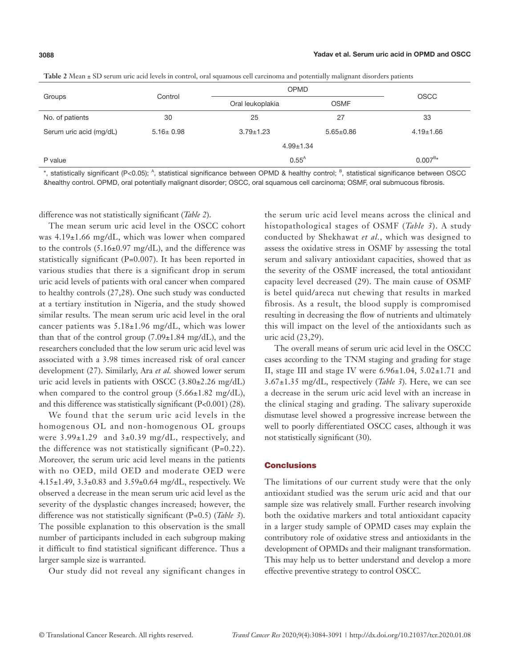$0.007^{B*}$ 

| <b>Table 2</b> tyleall ± 3D setum une acid levels in control, oral squamous cen caremonia and potentially manghant disorders patients |                 |                  |                 |                 |  |  |
|---------------------------------------------------------------------------------------------------------------------------------------|-----------------|------------------|-----------------|-----------------|--|--|
|                                                                                                                                       |                 | <b>OPMD</b>      |                 |                 |  |  |
| Groups                                                                                                                                | Control         | Oral leukoplakia | <b>OSMF</b>     | <b>OSCC</b>     |  |  |
| No. of patients                                                                                                                       | 30              | 25               | 27              | 33              |  |  |
| Serum uric acid (mg/dL)                                                                                                               | $5.16 \pm 0.98$ | $3.79 \pm 1.23$  | $5.65 \pm 0.86$ | $4.19 \pm 1.66$ |  |  |
|                                                                                                                                       |                 | $4.99 + 1.34$    |                 |                 |  |  |

**Table 2** Mean ± SD serum uric acid levels in control, oral squamous cell carcinoma and potentially malignant disorders patients

\*, statistically significant (P<0.05); <sup>A</sup>, statistical significance between OPMD & healthy control; <sup>B</sup>, statistical significance between OSCC &healthy control. OPMD, oral potentially malignant disorder; OSCC, oral squamous cell carcinoma; OSMF, oral submucous fibrosis.

difference was not statistically significant (*Table 2*).

P value  $0.55^{\text{A}}$ 

The mean serum uric acid level in the OSCC cohort was 4.19±1.66 mg/dL, which was lower when compared to the controls (5.16±0.97 mg/dL), and the difference was statistically significant (P=0.007). It has been reported in various studies that there is a significant drop in serum uric acid levels of patients with oral cancer when compared to healthy controls (27,28). One such study was conducted at a tertiary institution in Nigeria, and the study showed similar results. The mean serum uric acid level in the oral cancer patients was 5.18±1.96 mg/dL, which was lower than that of the control group  $(7.09\pm1.84 \text{ mg/dL})$ , and the researchers concluded that the low serum uric acid level was associated with a 3.98 times increased risk of oral cancer development (27). Similarly, Ara *et al.* showed lower serum uric acid levels in patients with OSCC (3.80±2.26 mg/dL) when compared to the control group  $(5.66 \pm 1.82 \text{ mg/dL})$ , and this difference was statistically significant (P<0.001) (28).

We found that the serum uric acid levels in the homogenous OL and non-homogenous OL groups were  $3.99\pm1.29$  and  $3\pm0.39$  mg/dL, respectively, and the difference was not statistically significant (P=0.22). Moreover, the serum uric acid level means in the patients with no OED, mild OED and moderate OED were 4.15±1.49, 3.3±0.83 and 3.59±0.64 mg/dL, respectively. We observed a decrease in the mean serum uric acid level as the severity of the dysplastic changes increased; however, the difference was not statistically significant (P=0.5) (*Table 3*). The possible explanation to this observation is the small number of participants included in each subgroup making it difficult to find statistical significant difference. Thus a larger sample size is warranted.

Our study did not reveal any significant changes in

the serum uric acid level means across the clinical and histopathological stages of OSMF (*Table 3*). A study conducted by Shekhawat *et al.*, which was designed to assess the oxidative stress in OSMF by assessing the total serum and salivary antioxidant capacities, showed that as the severity of the OSMF increased, the total antioxidant capacity level decreased (29). The main cause of OSMF is betel quid/areca nut chewing that results in marked fibrosis. As a result, the blood supply is compromised resulting in decreasing the flow of nutrients and ultimately this will impact on the level of the antioxidants such as uric acid (23,29).

The overall means of serum uric acid level in the OSCC cases according to the TNM staging and grading for stage II, stage III and stage IV were  $6.96\pm1.04$ ,  $5.02\pm1.71$  and 3.67±1.35 mg/dL, respectively (*Table 3*). Here, we can see a decrease in the serum uric acid level with an increase in the clinical staging and grading. The salivary superoxide dismutase level showed a progressive increase between the well to poorly differentiated OSCC cases, although it was not statistically significant (30).

#### **Conclusions**

The limitations of our current study were that the only antioxidant studied was the serum uric acid and that our sample size was relatively small. Further research involving both the oxidative markers and total antioxidant capacity in a larger study sample of OPMD cases may explain the contributory role of oxidative stress and antioxidants in the development of OPMDs and their malignant transformation. This may help us to better understand and develop a more effective preventive strategy to control OSCC.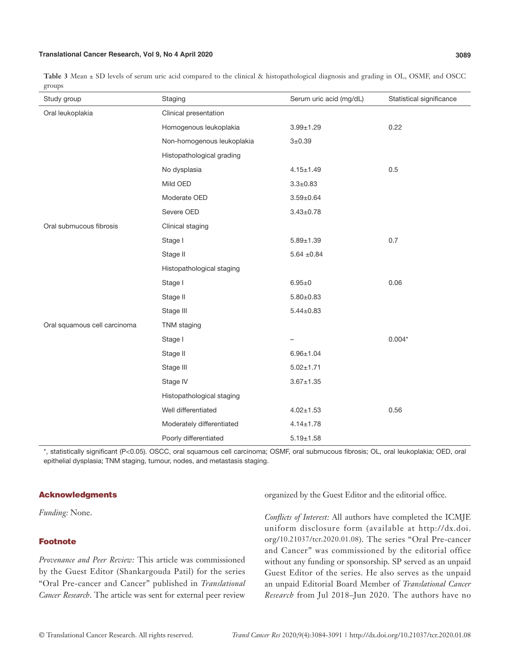#### **Translational Cancer Research, Vol 9, No 4 April 2020 3089**

**Table 3** Mean ± SD levels of serum uric acid compared to the clinical & histopathological diagnosis and grading in OL, OSMF, and OSCC groups

| Study group                  | Staging                    | Serum uric acid (mg/dL) | Statistical significance |
|------------------------------|----------------------------|-------------------------|--------------------------|
| Oral leukoplakia             | Clinical presentation      |                         |                          |
|                              | Homogenous leukoplakia     | $3.99 \pm 1.29$         | 0.22                     |
|                              | Non-homogenous leukoplakia | $3 + 0.39$              |                          |
|                              | Histopathological grading  |                         |                          |
|                              | No dysplasia               | $4.15 \pm 1.49$         | 0.5                      |
|                              | Mild OED                   | $3.3 \pm 0.83$          |                          |
|                              | Moderate OED               | $3.59 \pm 0.64$         |                          |
|                              | Severe OED                 | $3.43 \pm 0.78$         |                          |
| Oral submucous fibrosis      | Clinical staging           |                         |                          |
|                              | Stage I                    | $5.89 \pm 1.39$         | 0.7                      |
|                              | Stage II                   | $5.64 \pm 0.84$         |                          |
|                              | Histopathological staging  |                         |                          |
|                              | Stage I                    | $6.95 + 0$              | 0.06                     |
|                              | Stage II                   | $5.80 \pm 0.83$         |                          |
|                              | Stage III                  | $5.44 \pm 0.83$         |                          |
| Oral squamous cell carcinoma | TNM staging                |                         |                          |
|                              | Stage I                    |                         | $0.004*$                 |
|                              | Stage II                   | $6.96 \pm 1.04$         |                          |
|                              | Stage III                  | $5.02 \pm 1.71$         |                          |
|                              | Stage IV                   | $3.67 \pm 1.35$         |                          |
|                              | Histopathological staging  |                         |                          |
|                              | Well differentiated        | $4.02 \pm 1.53$         | 0.56                     |
|                              | Moderately differentiated  | $4.14 \pm 1.78$         |                          |
|                              | Poorly differentiated      | $5.19 \pm 1.58$         |                          |

\*, statistically significant (P<0.05). OSCC, oral squamous cell carcinoma; OSMF, oral submucous fibrosis; OL, oral leukoplakia; OED, oral epithelial dysplasia; TNM staging, tumour, nodes, and metastasis staging.

#### Acknowledgments

*Funding:* None.

#### Footnote

*Provenance and Peer Review:* This article was commissioned by the Guest Editor (Shankargouda Patil) for the series "Oral Pre-cancer and Cancer" published in *Translational Cancer Research*. The article was sent for external peer review

organized by the Guest Editor and the editorial office.

*Conflicts of Interest:* All authors have completed the ICMJE uniform disclosure form (available at http://dx.doi. org/10.21037/tcr.2020.01.08). The series "Oral Pre-cancer and Cancer" was commissioned by the editorial office without any funding or sponsorship. SP served as an unpaid Guest Editor of the series. He also serves as the unpaid an unpaid Editorial Board Member of *Translational Cancer Research* from Jul 2018–Jun 2020. The authors have no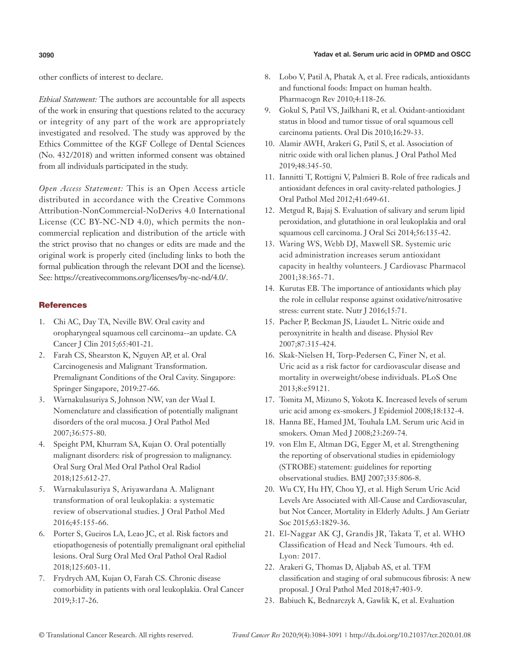### **3090** Yadav et al. Serum uric acid in OPMD and OSCC

other conflicts of interest to declare.

*Ethical Statement:* The authors are accountable for all aspects of the work in ensuring that questions related to the accuracy or integrity of any part of the work are appropriately investigated and resolved. The study was approved by the Ethics Committee of the KGF College of Dental Sciences (No. 432/2018) and written informed consent was obtained from all individuals participated in the study.

*Open Access Statement:* This is an Open Access article distributed in accordance with the Creative Commons Attribution-NonCommercial-NoDerivs 4.0 International License (CC BY-NC-ND 4.0), which permits the noncommercial replication and distribution of the article with the strict proviso that no changes or edits are made and the original work is properly cited (including links to both the formal publication through the relevant DOI and the license). See: https://creativecommons.org/licenses/by-nc-nd/4.0/.

# **References**

- 1. Chi AC, Day TA, Neville BW. Oral cavity and oropharyngeal squamous cell carcinoma--an update. CA Cancer J Clin 2015;65:401-21.
- 2. Farah CS, Shearston K, Nguyen AP, et al. Oral Carcinogenesis and Malignant Transformation. Premalignant Conditions of the Oral Cavity. Singapore: Springer Singapore, 2019:27-66.
- 3. Warnakulasuriya S, Johnson NW, van der Waal I. Nomenclature and classification of potentially malignant disorders of the oral mucosa. J Oral Pathol Med 2007;36:575-80.
- 4. Speight PM, Khurram SA, Kujan O. Oral potentially malignant disorders: risk of progression to malignancy. Oral Surg Oral Med Oral Pathol Oral Radiol 2018;125:612-27.
- 5. Warnakulasuriya S, Ariyawardana A. Malignant transformation of oral leukoplakia: a systematic review of observational studies. J Oral Pathol Med 2016;45:155-66.
- 6. Porter S, Gueiros LA, Leao JC, et al. Risk factors and etiopathogenesis of potentially premalignant oral epithelial lesions. Oral Surg Oral Med Oral Pathol Oral Radiol 2018;125:603-11.
- 7. Frydrych AM, Kujan O, Farah CS. Chronic disease comorbidity in patients with oral leukoplakia. Oral Cancer 2019;3:17-26.
- 8. Lobo V, Patil A, Phatak A, et al. Free radicals, antioxidants and functional foods: Impact on human health. Pharmacogn Rev 2010;4:118-26.
- 9. Gokul S, Patil VS, Jailkhani R, et al. Oxidant-antioxidant status in blood and tumor tissue of oral squamous cell carcinoma patients. Oral Dis 2010;16:29-33.
- 10. Alamir AWH, Arakeri G, Patil S, et al. Association of nitric oxide with oral lichen planus. J Oral Pathol Med 2019;48:345-50.
- 11. Iannitti T, Rottigni V, Palmieri B. Role of free radicals and antioxidant defences in oral cavity-related pathologies. J Oral Pathol Med 2012;41:649-61.
- 12. Metgud R, Bajaj S. Evaluation of salivary and serum lipid peroxidation, and glutathione in oral leukoplakia and oral squamous cell carcinoma. J Oral Sci 2014;56:135-42.
- 13. Waring WS, Webb DJ, Maxwell SR. Systemic uric acid administration increases serum antioxidant capacity in healthy volunteers. J Cardiovasc Pharmacol 2001;38:365-71.
- 14. Kurutas EB. The importance of antioxidants which play the role in cellular response against oxidative/nitrosative stress: current state. Nutr J 2016;15:71.
- 15. Pacher P, Beckman JS, Liaudet L. Nitric oxide and peroxynitrite in health and disease. Physiol Rev 2007;87:315-424.
- 16. Skak-Nielsen H, Torp-Pedersen C, Finer N, et al. Uric acid as a risk factor for cardiovascular disease and mortality in overweight/obese individuals. PLoS One 2013;8:e59121.
- 17. Tomita M, Mizuno S, Yokota K. Increased levels of serum uric acid among ex-smokers. J Epidemiol 2008;18:132-4.
- 18. Hanna BE, Hamed JM, Touhala LM. Serum uric Acid in smokers. Oman Med J 2008;23:269-74.
- 19. von Elm E, Altman DG, Egger M, et al. Strengthening the reporting of observational studies in epidemiology (STROBE) statement: guidelines for reporting observational studies. BMJ 2007;335:806-8.
- 20. Wu CY, Hu HY, Chou YJ, et al. High Serum Uric Acid Levels Are Associated with All-Cause and Cardiovascular, but Not Cancer, Mortality in Elderly Adults. J Am Geriatr Soc 2015;63:1829-36.
- 21. El-Naggar AK CJ, Grandis JR, Takata T, et al. WHO Classification of Head and Neck Tumours. 4th ed. Lyon: 2017.
- 22. Arakeri G, Thomas D, Aljabab AS, et al. TFM classification and staging of oral submucous fibrosis: A new proposal. J Oral Pathol Med 2018;47:403-9.
- 23. Babiuch K, Bednarczyk A, Gawlik K, et al. Evaluation